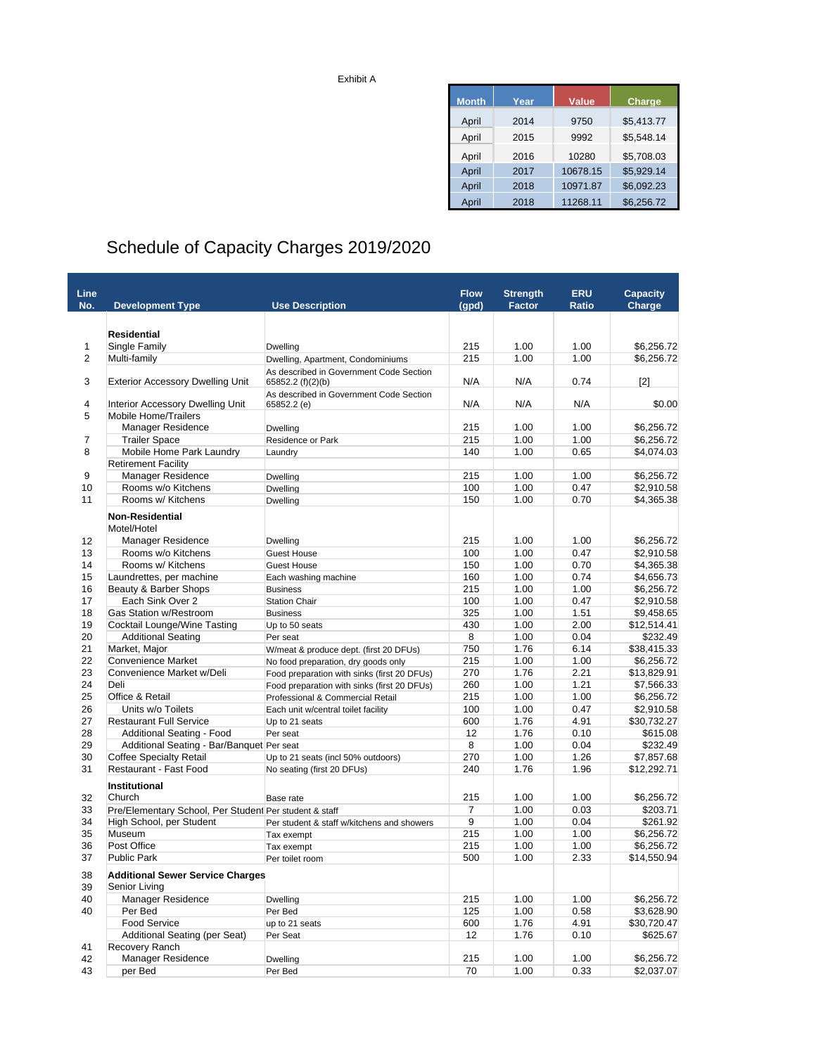| -xhibit |  |
|---------|--|
|---------|--|

| <b>Month</b> | Year | Value    | <b>Charge</b> |
|--------------|------|----------|---------------|
| April        | 2014 | 9750     | \$5,413.77    |
| April        | 2015 | 9992     | \$5,548.14    |
| April        | 2016 | 10280    | \$5,708.03    |
| April        | 2017 | 10678.15 | \$5.929.14    |
| April        | 2018 | 10971.87 | \$6.092.23    |
| April        | 2018 | 11268.11 | \$6,256.72    |

## Schedule of Capacity Charges 2019/2020

| Line           |                                                          |                                             | <b>Flow</b>    | <b>Strength</b> | <b>ERU</b>   | <b>Capacity</b> |
|----------------|----------------------------------------------------------|---------------------------------------------|----------------|-----------------|--------------|-----------------|
| No.            | <b>Development Type</b>                                  | <b>Use Description</b>                      | (gpd)          | Factor          | <b>Ratio</b> | Charge          |
|                |                                                          |                                             |                |                 |              |                 |
|                | <b>Residential</b>                                       |                                             |                |                 |              |                 |
| 1              | Single Family                                            | Dwelling                                    | 215            | 1.00            | 1.00         | \$6.256.72      |
| $\overline{2}$ | Multi-family                                             | Dwelling, Apartment, Condominiums           | 215            | 1.00            | 1.00         | \$6,256.72      |
|                |                                                          | As described in Government Code Section     |                |                 |              |                 |
| 3              | <b>Exterior Accessory Dwelling Unit</b>                  | 65852.2 (f)(2)(b)                           | N/A            | N/A             | 0.74         | $[2]$           |
|                |                                                          | As described in Government Code Section     |                |                 |              |                 |
| 4              | <b>Interior Accessory Dwelling Unit</b>                  | 65852.2 (e)                                 | N/A            | N/A             | N/A          | \$0.00          |
| 5              | Mobile Home/Trailers                                     |                                             |                |                 |              |                 |
|                | Manager Residence                                        | Dwelling                                    | 215            | 1.00            | 1.00         | \$6,256.72      |
| $\overline{7}$ | <b>Trailer Space</b>                                     | Residence or Park                           | 215            | 1.00            | 1.00         | \$6,256.72      |
| 8              | Mobile Home Park Laundry                                 | Laundry                                     | 140            | 1.00            | 0.65         | \$4,074.03      |
|                | <b>Retirement Facility</b>                               |                                             |                |                 |              |                 |
| 9              | <b>Manager Residence</b>                                 | Dwelling                                    | 215            | 1.00            | 1.00         | \$6,256.72      |
| 10             | Rooms w/o Kitchens                                       | Dwelling                                    | 100            | 1.00            | 0.47         | \$2,910.58      |
| 11             | Rooms w/ Kitchens                                        | Dwelling                                    | 150            | 1.00            | 0.70         | \$4,365.38      |
|                | Non-Residential                                          |                                             |                |                 |              |                 |
|                | Motel/Hotel                                              |                                             |                |                 |              |                 |
| 12             | <b>Manager Residence</b>                                 | Dwelling                                    | 215            | 1.00            | 1.00         | \$6,256.72      |
| 13             | Rooms w/o Kitchens                                       | <b>Guest House</b>                          | 100            | 1.00            | 0.47         | \$2,910.58      |
| 14             | Rooms w/ Kitchens                                        | <b>Guest House</b>                          | 150            | 1.00            | 0.70         | \$4.365.38      |
| 15             | Laundrettes, per machine                                 | Each washing machine                        | 160            | 1.00            | 0.74         | \$4,656.73      |
| 16             | Beauty & Barber Shops                                    | <b>Business</b>                             | 215            | 1.00            | 1.00         | \$6,256.72      |
| 17             | Each Sink Over 2                                         | <b>Station Chair</b>                        | 100            | 1.00            | 0.47         | \$2,910.58      |
| 18             | <b>Gas Station w/Restroom</b>                            | <b>Business</b>                             | 325            | 1.00            | 1.51         | \$9,458.65      |
| 19             | Cocktail Lounge/Wine Tasting                             | Up to 50 seats                              | 430            | 1.00            | 2.00         | \$12,514.41     |
| 20             | <b>Additional Seating</b>                                | Per seat                                    | 8              | 1.00            | 0.04         | \$232.49        |
| 21             | Market, Major                                            | W/meat & produce dept. (first 20 DFUs)      | 750            | 1.76            | 6.14         | \$38,415.33     |
| 22             | <b>Convenience Market</b>                                | No food preparation, dry goods only         | 215            | 1.00            | 1.00         | \$6,256.72      |
| 23             | Convenience Market w/Deli                                | Food preparation with sinks (first 20 DFUs) | 270            | 1.76            | 2.21         | \$13,829.91     |
| 24             | Deli                                                     | Food preparation with sinks (first 20 DFUs) | 260            | 1.00            | 1.21         | \$7,566.33      |
| 25             | Office & Retail                                          | Professional & Commercial Retail            | 215            | 1.00            | 1.00         | \$6,256.72      |
| 26             | Units w/o Toilets                                        | Each unit w/central toilet facility         | 100            | 1.00            | 0.47         | \$2,910.58      |
| 27             | <b>Restaurant Full Service</b>                           | Up to 21 seats                              | 600            | 1.76            | 4.91         | \$30,732.27     |
| 28             | Additional Seating - Food                                | Per seat                                    | 12             | 1.76            | 0.10         | \$615.08        |
| 29             | Additional Seating - Bar/Banquet Per seat                |                                             | 8              | 1.00            | 0.04         | \$232.49        |
| 30             | <b>Coffee Specialty Retail</b>                           | Up to 21 seats (incl 50% outdoors)          | 270            | 1.00            | 1.26         | \$7,857.68      |
| 31             | Restaurant - Fast Food                                   | No seating (first 20 DFUs)                  | 240            | 1.76            | 1.96         | \$12,292.71     |
|                | <b>Institutional</b>                                     |                                             |                |                 |              |                 |
| 32             | Church                                                   | Base rate                                   | 215            | 1.00            | 1.00         | \$6,256.72      |
| 33             | Pre/Elementary School, Per Student Per student & staff   |                                             | $\overline{7}$ | 1.00            | 0.03         | \$203.71        |
| 34             | High School, per Student                                 | Per student & staff w/kitchens and showers  | 9              | 1.00            | 0.04         | \$261.92        |
| 35             | Museum                                                   | Tax exempt                                  | 215            | 1.00            | 1.00         | \$6,256.72      |
| 36             | Post Office                                              | Tax exempt                                  | 215            | 1.00            | 1.00         | \$6,256.72      |
| 37             | <b>Public Park</b>                                       | Per toilet room                             | 500            | 1.00            | 2.33         | \$14,550.94     |
|                |                                                          |                                             |                |                 |              |                 |
| 38<br>39       | <b>Additional Sewer Service Charges</b><br>Senior Living |                                             |                |                 |              |                 |
| 40             | Manager Residence                                        |                                             | 215            | 1.00            | 1.00         | \$6,256.72      |
| 40             | Per Bed                                                  | Dwelling<br>Per Bed                         | 125            | 1.00            | 0.58         | \$3,628.90      |
|                |                                                          |                                             |                |                 |              |                 |
|                | <b>Food Service</b>                                      | up to 21 seats                              | 600            | 1.76            | 4.91         | \$30,720.47     |
| 41             | Additional Seating (per Seat)<br>Recovery Ranch          | Per Seat                                    | 12             | 1.76            | 0.10         | \$625.67        |
| 42             | Manager Residence                                        | Dwelling                                    | 215            | 1.00            | 1.00         | \$6,256.72      |
|                |                                                          |                                             | 70             |                 | 0.33         | \$2,037.07      |
| 43             | per Bed                                                  | Per Bed                                     |                | 1.00            |              |                 |